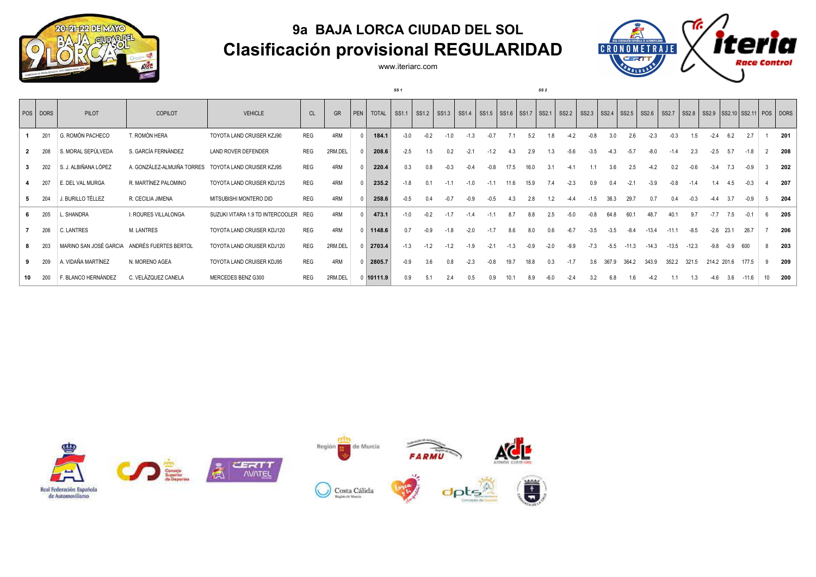

## **9a BAJA LORCA CIUDAD DEL SOL Clasificación provisional REGULARIDAD**

www.iteriarc.com

*SS 1 SS 2*



| POS DORS | PILOT                | COPILOT                                      | <b>VEHICLE</b>                       | <b>CL</b>  | GR      | PEN | <b>TOTAL</b> | SS1.1  | SS <sub>1.2</sub> | SS1.3  | SS1.4   SS1.5   SS1.6   SS1.7   SS2.1   SS2.2 |        |        |        |        |        | $SS2.3$ $SS2.4$ $SS2.5$ $SS2.6$ |        |         |         | $SS2.7$ SS2.8 |         |        |             | SS2.9   SS2.10   SS2.11   POS   DORS |    |     |
|----------|----------------------|----------------------------------------------|--------------------------------------|------------|---------|-----|--------------|--------|-------------------|--------|-----------------------------------------------|--------|--------|--------|--------|--------|---------------------------------|--------|---------|---------|---------------|---------|--------|-------------|--------------------------------------|----|-----|
| 201      | G. ROMÓN PACHECO     | T. ROMÓN HERA                                | TOYOTA LAND CRUISER KZJ90            | <b>REG</b> | 4RM     |     | 184.1        | $-3.0$ | $-0.2$            | $-1.0$ | $-1.3$                                        |        |        | 5.2    |        | $-4.2$ | -0.8                            | 3.0    | 2.6     | $-2.3$  | $-0.3$        | 1.5     | $-2.4$ | 6.2         | 2.7                                  |    | 201 |
| 208      | S. MORAL SEPÚLVEDA   | S. GARCÍA FERNÁNDEZ                          | LAND ROVER DEFENDER                  | REG        | 2RM.DEL |     | 208.6        | $-2.5$ | 1.5               | 0.2    | $-2.1$                                        | $-1.2$ | 4.3    | 2.9    | 1.3    | $-5.6$ | $-3.5$                          | $-4.3$ | $-5.7$  | $-8.0$  | $-1.4$        | 2.3     | $-2.5$ | 5.7         | $-1.8$                               |    | 208 |
| 202      | S. J. ALBIÑANA LÓPEZ | A. GONZÁLEZ-ALMUIÑA TORRES                   | TOYOTA LAND CRUISER KZJ95            | REG        | 4RM     |     | 220.4        | 0.3    | 0.8               | $-0.3$ | $-0.4$                                        | $-0.8$ | 17.5   | 16.0   |        | -4     |                                 | 3.6    | 2.5     | $-4.2$  | 0.2           | -0.6    | $-3.4$ | 7.3         | -0.9                                 |    | 202 |
| 207      | E. DEL VAL MURGA     | R. MARTÍNEZ PALOMINO                         | TOYOTA LAND CRUISER KDJ125           | REG        | 4RM     |     | 235.2        | $-1.8$ |                   |        | $-1.0$                                        |        | 11.6   |        |        | $-2.3$ | 0.9                             |        |         | $-3.9$  | $-0.8$        | $-1.4$  | 1.4    | 4.5         | $-0.3$                               |    | 207 |
| 204      | J. BURILLO TÉLLEZ    | R. CECILIA JIMENA                            | MITSUBISHI MONTERO DID               | REG        | 4RM     |     | 258.6        | $-0.5$ |                   |        | $-0.9$                                        |        |        | 2.8    |        | $-4.4$ | $-1.5$                          | 38.3   | 29.7    | 0.7     | 0.4           | $-0.3$  | $-4.4$ | 3.7         | $-0.9$                               |    | 204 |
| 205      | L. SHANDRA           | I. ROURES VILLALONGA                         | SUZUKI VITARA 1.9 TD INTERCOOLER REG |            | 4RM     |     | 473.1        | $-1.0$ | $-0.2$            | $-1.7$ | $-1.4$                                        |        | 8.7    | 8.8    | 2.5    | $-5.0$ | $-0.8$                          | 64.8   | 60.1    | 48.7    | 40.1          | 9.7     | $-7.7$ | 7.5         |                                      |    | 205 |
| 206      | C. LANTRES           | M. LANTRES                                   | TOYOTA LAND CRUISER KDJ120           | <b>REG</b> | 4RM     |     | 1148.6       | 0.7    | $-0.9$            | $-1.8$ | $-2.0$                                        | $-1.7$ | 8.6    | 8.0    | 0.6    | $-6.7$ | $-3.5$                          | $-3.5$ | $-8.4$  | $-13.4$ | $-11.1$       | -8.5    | $-2.6$ | 23.1        | 26.7                                 |    | 206 |
| 203      |                      | MARINO SAN JOSÉ GARCIA ANDRÉS FUERTES BERTOL | TOYOTA LAND CRUISER KDJ120           | <b>REG</b> | 2RM.DEL |     | 2703.4       | $-1.3$ | $-1.2$            | $-1.2$ | $-1.9$                                        | $-21$  | $-1.3$ | $-0.9$ | $-2.0$ | $-9.9$ | $-7.3$                          | $-5.5$ | $-11.3$ | $-14.3$ | $-13.5$       | $-12.3$ | $-9.8$ | $-0.9$      | 600                                  |    | 203 |
| 209      | A. VIDAÑA MARTÍNEZ   | N. MORENO AGEA                               | TOYOTA LAND CRUISER KDJ95            | <b>REG</b> | 4RM     |     | 2805.7       | $-0.9$ | 3.6               | 0.8    | $-2.3$                                        | $-0.8$ | 19.7   | 18.8   | 0.3    | $-1.7$ | 3.6                             | 367.9  | 364.2   | 343.9   | 352.2         | 321.5   |        | 214.2 201.6 | 177.5                                |    | 209 |
| 200      | F. BLANCO HERNÁNDEZ  | C. VELÁZQUEZ CANELA                          | MERCEDES BENZ G300                   | <b>REG</b> | 2RM.DEL |     | 10111.9      | 0.9    |                   |        | 0.5                                           | 0.9    |        | 8.9    |        | $-2.4$ | 3.2                             | 6.8    | 1.6     |         |               | 1.3     | -4.6   | 3.6         | $-11.6$                              | 10 | 200 |

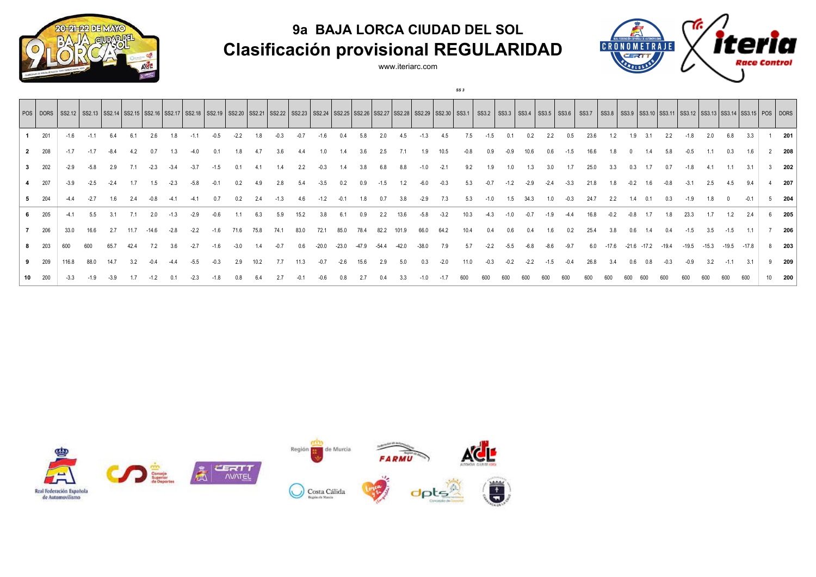**9a BAJA LORCA CIUDAD DEL SOL Clasificación provisional REGULARIDAD**



## Ŧ **CRONOMETRAJE** CERTT Race Control

www.iteriarc.com

*SS 3*

|                |     |        | POS   DORS   SS2.12   SS2.12   SS2.14   SS2.16   SS2.16   SS2.17   SS2.18   SS2.19   SS2.20   SS2.21   SS2.21   SS2.22   SS2.22   SS2.24   SS2.25   SS2.26   SS2.27   SS2.28   SS2.29   SS2.20   SS2.10   SS3.1   SS3.2   SS |        |      |         |        |        |      |        |      |        |      |         |         |         |       |         |         |        |      |        |        |        |      |        | <b>SS3.7</b> |         |         |         |       | SS3.8   SS3.9   SS3.10   SS3.11   SS3.12   SS3.13   SS3.14   SS3.15   POS   DORS |         |        |         |   |     |
|----------------|-----|--------|------------------------------------------------------------------------------------------------------------------------------------------------------------------------------------------------------------------------------|--------|------|---------|--------|--------|------|--------|------|--------|------|---------|---------|---------|-------|---------|---------|--------|------|--------|--------|--------|------|--------|--------------|---------|---------|---------|-------|----------------------------------------------------------------------------------|---------|--------|---------|---|-----|
|                | 201 | $-1.6$ | $-1.1$                                                                                                                                                                                                                       | 6.4    |      | 2.6     | 1.8    |        |      | $-2.2$ |      | $-0.3$ |      |         | 0.4     | 5.8     |       | 4.5     |         | 4.5    |      | $-1.5$ |        | 0.2    | 2.2  |        | 23.6         | 1.2     | 1.9     | 3.1     |       | $-1.8$                                                                           | 2.0     | 6.8    | 3.3     |   | 201 |
| $\overline{2}$ | 208 | $-1.7$ | $-1.7$                                                                                                                                                                                                                       |        |      |         |        |        |      |        |      |        |      |         |         |         |       |         |         |        |      |        |        |        |      |        |              |         |         |         |       |                                                                                  |         |        |         |   | 208 |
|                | 202 | $-2.9$ | $-5.8$                                                                                                                                                                                                                       | 2.9    |      |         |        |        |      |        |      |        | 2.2  |         |         |         |       |         |         | -2.1   |      | 1.9    |        |        |      |        |              |         |         |         |       |                                                                                  |         |        |         |   | 202 |
|                | 207 | $-3.9$ | $-2.5$                                                                                                                                                                                                                       | $-2.4$ |      |         |        |        |      |        |      | 2.8    | 5.4  |         | 0.2     | 0.9     |       |         |         |        |      |        |        |        |      |        | 21.8         |         |         |         |       |                                                                                  |         |        | 9.4     |   | 207 |
|                | 204 |        | $-2.7$                                                                                                                                                                                                                       | 1.6    |      |         |        |        |      | 0.2    |      |        |      |         |         |         |       |         |         | 1.3    |      |        |        | 34.3   |      |        | 24.7         | 2.2     |         |         |       |                                                                                  |         |        |         |   | 204 |
| 6              | 205 | $-4.1$ | 5.5                                                                                                                                                                                                                          | 3.1    |      | 2.0     | -1.3   | $-2.9$ |      |        |      | 5.9    | 15.2 | 3.8     | 6.1     | 0.9     |       | 13.6    | $-5.8$  | $-3.2$ | 10.3 | -4.3   |        |        |      |        | 16.8         |         |         |         |       | 23.3                                                                             |         |        | 2.4     |   | 205 |
|                | 206 | 33.0   | 16.6                                                                                                                                                                                                                         | 2.7    | 11.7 | $-14.6$ | $-2.8$ | $-2.2$ |      |        | 75.8 | 74.1   | 83.0 | 72.1    | 85.0    | 78.4    | 82.2  | 101.9   | 66.0    | 64.2   | 10.4 | 0.4    | 0.6    | 0.4    | 1.6  |        | 25.4         | 3.8     | 0.6     |         |       | -1.5                                                                             | 3.5     | $-1.5$ | 1.1     |   | 206 |
|                | 203 | 600    | 600                                                                                                                                                                                                                          | 65.7   | 42.4 |         | 3.6    | $-2.7$ | -1.6 | $-3.0$ |      | $-0.7$ | 0.6  | $-20.0$ | $-23.0$ | $-47.9$ | -54.4 | $-42.0$ | $-38.0$ | 7.9    | 5.7  | $-2.2$ | $-5.5$ | $-6.8$ | -8.6 | $-9.7$ | 6.0          | $-17.6$ | $-21.6$ | $-17.2$ | -19.4 | $-19.5$                                                                          | $-15.3$ | -19.5  | $-17.8$ | 8 | 203 |
|                | 209 | 116.8  | 88.0                                                                                                                                                                                                                         | 14.7   |      |         |        |        |      | 2.9    |      |        |      |         | $-2.6$  | 15.6    | 2.9   |         |         | $-2.0$ |      | $-0.3$ |        | $-2.2$ |      |        | 26.8         | 3.4     |         |         |       |                                                                                  |         |        |         |   | 209 |
| 10             | 200 |        |                                                                                                                                                                                                                              |        |      |         |        |        |      |        |      |        |      |         |         |         |       |         |         |        |      |        |        |        |      |        |              |         |         |         |       |                                                                                  |         |        | 600     |   | 200 |